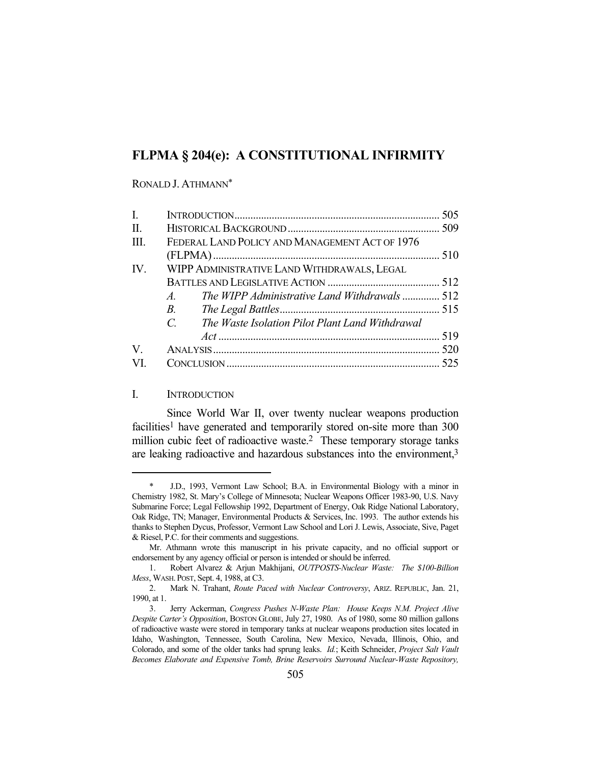# **FLPMA § 204(e): A CONSTITUTIONAL INFIRMITY**

#### RONALD J. ATHMANN\*

| $\mathbf{I}$ . |                                                                |  |
|----------------|----------------------------------------------------------------|--|
| II.            |                                                                |  |
| III.           | FEDERAL LAND POLICY AND MANAGEMENT ACT OF 1976                 |  |
|                |                                                                |  |
| IV.            | WIPP ADMINISTRATIVE LAND WITHDRAWALS, LEGAL                    |  |
|                |                                                                |  |
|                | The WIPP Administrative Land Withdrawals  512<br>$A_{\cdot}$   |  |
|                | $B$ .                                                          |  |
|                | $C_{\cdot}$<br>The Waste Isolation Pilot Plant Land Withdrawal |  |
|                |                                                                |  |
| V.             |                                                                |  |
| VI.            |                                                                |  |
|                |                                                                |  |

### I. INTRODUCTION

 Since World War II, over twenty nuclear weapons production facilities<sup>1</sup> have generated and temporarily stored on-site more than 300 million cubic feet of radioactive waste.<sup>2</sup> These temporary storage tanks are leaking radioactive and hazardous substances into the environment,3

 <sup>\*</sup> J.D., 1993, Vermont Law School; B.A. in Environmental Biology with a minor in Chemistry 1982, St. Mary's College of Minnesota; Nuclear Weapons Officer 1983-90, U.S. Navy Submarine Force; Legal Fellowship 1992, Department of Energy, Oak Ridge National Laboratory, Oak Ridge, TN; Manager, Environmental Products & Services, Inc. 1993. The author extends his thanks to Stephen Dycus, Professor, Vermont Law School and Lori J. Lewis, Associate, Sive, Paget & Riesel, P.C. for their comments and suggestions.

Mr. Athmann wrote this manuscript in his private capacity, and no official support or endorsement by any agency official or person is intended or should be inferred.

 <sup>1.</sup> Robert Alvarez & Arjun Makhijani, *OUTPOSTS-Nuclear Waste: The \$100-Billion Mess*, WASH. POST, Sept. 4, 1988, at C3.

 <sup>2.</sup> Mark N. Trahant, *Route Paced with Nuclear Controversy*, ARIZ. REPUBLIC, Jan. 21, 1990, at 1.

 <sup>3.</sup> Jerry Ackerman, *Congress Pushes N-Waste Plan: House Keeps N.M. Project Alive Despite Carter's Opposition*, BOSTON GLOBE, July 27, 1980. As of 1980, some 80 million gallons of radioactive waste were stored in temporary tanks at nuclear weapons production sites located in Idaho, Washington, Tennessee, South Carolina, New Mexico, Nevada, Illinois, Ohio, and Colorado, and some of the older tanks had sprung leaks. *Id.*; Keith Schneider, *Project Salt Vault Becomes Elaborate and Expensive Tomb, Brine Reservoirs Surround Nuclear-Waste Repository,*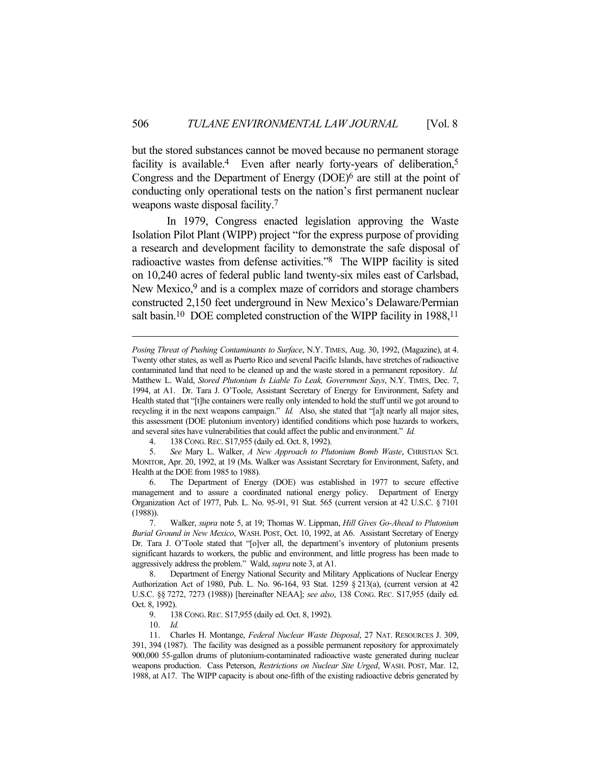but the stored substances cannot be moved because no permanent storage facility is available.<sup>4</sup> Even after nearly forty-years of deliberation,<sup>5</sup> Congress and the Department of Energy (DOE)6 are still at the point of conducting only operational tests on the nation's first permanent nuclear weapons waste disposal facility.7

 In 1979, Congress enacted legislation approving the Waste Isolation Pilot Plant (WIPP) project "for the express purpose of providing a research and development facility to demonstrate the safe disposal of radioactive wastes from defense activities."8 The WIPP facility is sited on 10,240 acres of federal public land twenty-six miles east of Carlsbad, New Mexico,<sup>9</sup> and is a complex maze of corridors and storage chambers constructed 2,150 feet underground in New Mexico's Delaware/Permian salt basin.<sup>10</sup> DOE completed construction of the WIPP facility in 1988,<sup>11</sup>

10. *Id.*

*Posing Threat of Pushing Contaminants to Surface*, N.Y. TIMES, Aug. 30, 1992, (Magazine), at 4. Twenty other states, as well as Puerto Rico and several Pacific Islands, have stretches of radioactive contaminated land that need to be cleaned up and the waste stored in a permanent repository. *Id.* Matthew L. Wald, *Stored Plutonium Is Liable To Leak, Government Says*, N.Y. TIMES, Dec. 7, 1994, at A1. Dr. Tara J. O'Toole, Assistant Secretary of Energy for Environment, Safety and Health stated that "[t]he containers were really only intended to hold the stuff until we got around to recycling it in the next weapons campaign." *Id.* Also, she stated that "[a]t nearly all major sites, this assessment (DOE plutonium inventory) identified conditions which pose hazards to workers, and several sites have vulnerabilities that could affect the public and environment." *Id.*

 <sup>4. 138</sup> CONG.REC. S17,955 (daily ed. Oct. 8, 1992).

 <sup>5.</sup> *See* Mary L. Walker, *A New Approach to Plutonium Bomb Waste*, CHRISTIAN SCI. MONITOR, Apr. 20, 1992, at 19 (Ms. Walker was Assistant Secretary for Environment, Safety, and Health at the DOE from 1985 to 1988).

 <sup>6.</sup> The Department of Energy (DOE) was established in 1977 to secure effective management and to assure a coordinated national energy policy. Department of Energy Organization Act of 1977, Pub. L. No. 95-91, 91 Stat. 565 (current version at 42 U.S.C. § 7101 (1988)).

 <sup>7.</sup> Walker, *supra* note 5, at 19; Thomas W. Lippman, *Hill Gives Go-Ahead to Plutonium Burial Ground in New Mexico*, WASH. POST, Oct. 10, 1992, at A6. Assistant Secretary of Energy Dr. Tara J. O'Toole stated that "[o]ver all, the department's inventory of plutonium presents significant hazards to workers, the public and environment, and little progress has been made to aggressively address the problem." Wald, *supra* note 3, at A1.

 <sup>8.</sup> Department of Energy National Security and Military Applications of Nuclear Energy Authorization Act of 1980, Pub. L. No. 96-164, 93 Stat. 1259 § 213(a), (current version at 42 U.S.C. §§ 7272, 7273 (1988)) [hereinafter NEAA]; *see also*, 138 CONG. REC. S17,955 (daily ed. Oct. 8, 1992).

 <sup>9. 138</sup> CONG.REC. S17,955 (daily ed. Oct. 8, 1992).

 <sup>11.</sup> Charles H. Montange, *Federal Nuclear Waste Disposal*, 27 NAT. RESOURCES J. 309, 391, 394 (1987). The facility was designed as a possible permanent repository for approximately 900,000 55-gallon drums of plutonium-contaminated radioactive waste generated during nuclear weapons production. Cass Peterson, *Restrictions on Nuclear Site Urged*, WASH. POST, Mar. 12, 1988, at A17. The WIPP capacity is about one-fifth of the existing radioactive debris generated by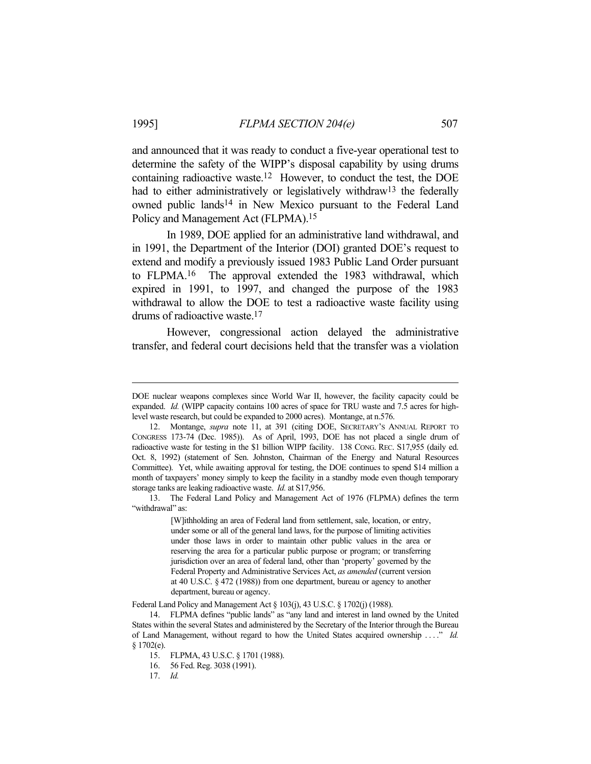and announced that it was ready to conduct a five-year operational test to determine the safety of the WIPP's disposal capability by using drums containing radioactive waste.12 However, to conduct the test, the DOE had to either administratively or legislatively withdraw<sup>13</sup> the federally owned public lands<sup>14</sup> in New Mexico pursuant to the Federal Land Policy and Management Act (FLPMA).15

 In 1989, DOE applied for an administrative land withdrawal, and in 1991, the Department of the Interior (DOI) granted DOE's request to extend and modify a previously issued 1983 Public Land Order pursuant to FLPMA.16 The approval extended the 1983 withdrawal, which expired in 1991, to 1997, and changed the purpose of the 1983 withdrawal to allow the DOE to test a radioactive waste facility using drums of radioactive waste.17

 However, congressional action delayed the administrative transfer, and federal court decisions held that the transfer was a violation

 13. The Federal Land Policy and Management Act of 1976 (FLPMA) defines the term "withdrawal" as:

> [W]ithholding an area of Federal land from settlement, sale, location, or entry, under some or all of the general land laws, for the purpose of limiting activities under those laws in order to maintain other public values in the area or reserving the area for a particular public purpose or program; or transferring jurisdiction over an area of federal land, other than 'property' governed by the Federal Property and Administrative Services Act, *as amended* (current version at 40 U.S.C. § 472 (1988)) from one department, bureau or agency to another department, bureau or agency.

Federal Land Policy and Management Act § 103(j), 43 U.S.C. § 1702(j) (1988).

15. FLPMA, 43 U.S.C. § 1701 (1988).

16. 56 Fed. Reg. 3038 (1991).

DOE nuclear weapons complexes since World War II, however, the facility capacity could be expanded. *Id.* (WIPP capacity contains 100 acres of space for TRU waste and 7.5 acres for highlevel waste research, but could be expanded to 2000 acres). Montange, at n.576.

 <sup>12.</sup> Montange, *supra* note 11, at 391 (citing DOE, SECRETARY'S ANNUAL REPORT TO CONGRESS 173-74 (Dec. 1985)). As of April, 1993, DOE has not placed a single drum of radioactive waste for testing in the \$1 billion WIPP facility. 138 CONG. REC. S17,955 (daily ed. Oct. 8, 1992) (statement of Sen. Johnston, Chairman of the Energy and Natural Resources Committee). Yet, while awaiting approval for testing, the DOE continues to spend \$14 million a month of taxpayers' money simply to keep the facility in a standby mode even though temporary storage tanks are leaking radioactive waste. *Id.* at S17,956.

 <sup>14.</sup> FLPMA defines "public lands" as "any land and interest in land owned by the United States within the several States and administered by the Secretary of the Interior through the Bureau of Land Management, without regard to how the United States acquired ownership . . . ." *Id.*  $§ 1702(e).$ 

 <sup>17.</sup> *Id.*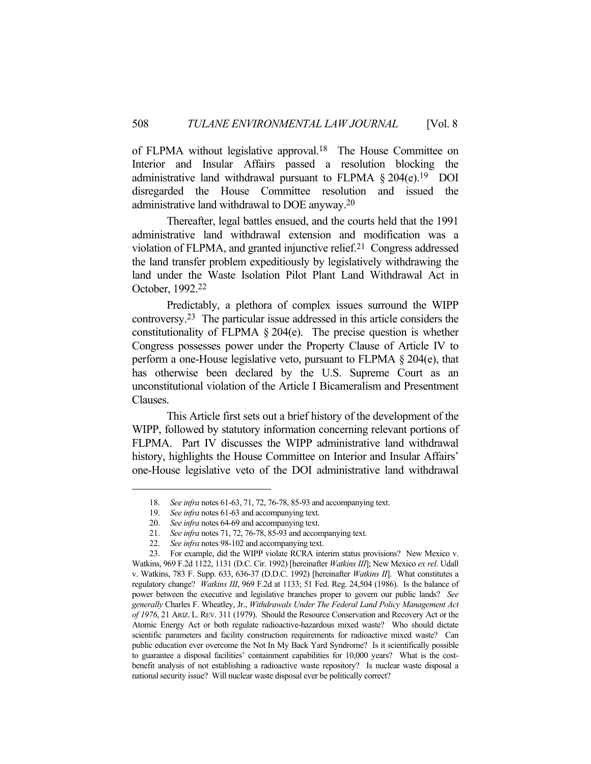of FLPMA without legislative approval.<sup>18</sup> The House Committee on Interior and Insular Affairs passed a resolution blocking the administrative land withdrawal pursuant to FLPMA  $\S 204(e).$ <sup>19</sup> DOI disregarded the House Committee resolution and issued the administrative land withdrawal to DOE anyway.20

 Thereafter, legal battles ensued, and the courts held that the 1991 administrative land withdrawal extension and modification was a violation of FLPMA, and granted injunctive relief.21 Congress addressed the land transfer problem expeditiously by legislatively withdrawing the land under the Waste Isolation Pilot Plant Land Withdrawal Act in October, 1992.22

 Predictably, a plethora of complex issues surround the WIPP controversy.23 The particular issue addressed in this article considers the constitutionality of FLPMA § 204(e). The precise question is whether Congress possesses power under the Property Clause of Article IV to perform a one-House legislative veto, pursuant to FLPMA § 204(e), that has otherwise been declared by the U.S. Supreme Court as an unconstitutional violation of the Article I Bicameralism and Presentment Clauses.

 This Article first sets out a brief history of the development of the WIPP, followed by statutory information concerning relevant portions of FLPMA. Part IV discusses the WIPP administrative land withdrawal history, highlights the House Committee on Interior and Insular Affairs' one-House legislative veto of the DOI administrative land withdrawal

 <sup>18.</sup> *See infra* notes 61-63, 71, 72, 76-78, 85-93 and accompanying text.

 <sup>19.</sup> *See infra* notes 61-63 and accompanying text.

 <sup>20.</sup> *See infra* notes 64-69 and accompanying text.

 <sup>21.</sup> *See infra* notes 71, 72, 76-78, 85-93 and accompanying text.

 <sup>22.</sup> *See infra* notes 98-102 and accompanying text.

 <sup>23.</sup> For example, did the WIPP violate RCRA interim status provisions? New Mexico v. Watkins, 969 F.2d 1122, 1131 (D.C. Cir. 1992) [hereinafter *Watkins III*]; New Mexico *ex rel*. Udall v. Watkins, 783 F. Supp. 633, 636-37 (D.D.C. 1992) [hereinafter *Watkins II*]. What constitutes a regulatory change? *Watkins III*, 969 F.2d at 1133; 51 Fed. Reg. 24,504 (1986). Is the balance of power between the executive and legislative branches proper to govern our public lands? *See generally* Charles F. Wheatley, Jr., *Withdrawals Under The Federal Land Policy Management Act of 1976*, 21 ARIZ. L. REV. 311 (1979). Should the Resource Conservation and Recovery Act or the Atomic Energy Act or both regulate radioactive-hazardous mixed waste? Who should dictate scientific parameters and facility construction requirements for radioactive mixed waste? Can public education ever overcome the Not In My Back Yard Syndrome? Is it scientifically possible to guarantee a disposal facilities' containment capabilities for 10,000 years? What is the costbenefit analysis of not establishing a radioactive waste repository? Is nuclear waste disposal a national security issue? Will nuclear waste disposal ever be politically correct?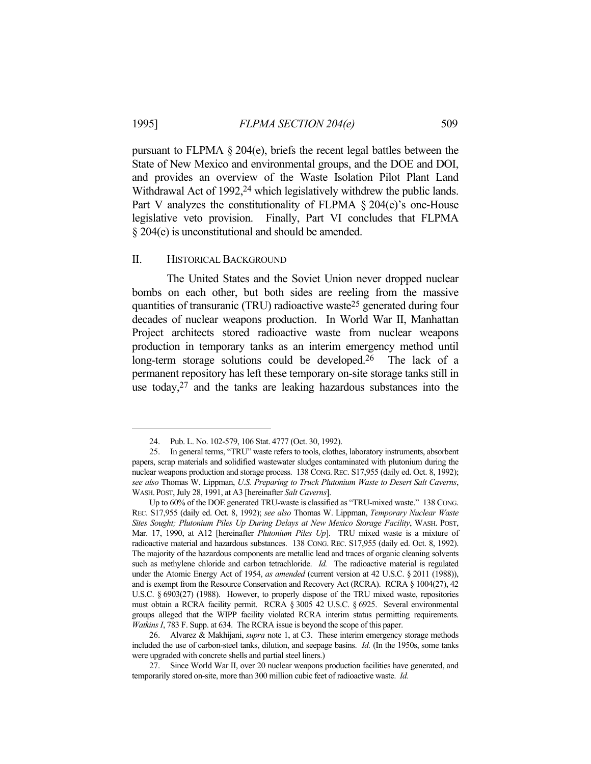pursuant to FLPMA § 204(e), briefs the recent legal battles between the State of New Mexico and environmental groups, and the DOE and DOI, and provides an overview of the Waste Isolation Pilot Plant Land Withdrawal Act of 1992,<sup>24</sup> which legislatively withdrew the public lands. Part V analyzes the constitutionality of FLPMA  $\S 204(e)$ 's one-House legislative veto provision. Finally, Part VI concludes that FLPMA § 204(e) is unconstitutional and should be amended.

### II. HISTORICAL BACKGROUND

 The United States and the Soviet Union never dropped nuclear bombs on each other, but both sides are reeling from the massive quantities of transuranic (TRU) radioactive waste25 generated during four decades of nuclear weapons production. In World War II, Manhattan Project architects stored radioactive waste from nuclear weapons production in temporary tanks as an interim emergency method until long-term storage solutions could be developed.<sup>26</sup> The lack of a permanent repository has left these temporary on-site storage tanks still in use today,27 and the tanks are leaking hazardous substances into the

 <sup>24.</sup> Pub. L. No. 102-579, 106 Stat. 4777 (Oct. 30, 1992).

 <sup>25.</sup> In general terms, "TRU" waste refers to tools, clothes, laboratory instruments, absorbent papers, scrap materials and solidified wastewater sludges contaminated with plutonium during the nuclear weapons production and storage process. 138 CONG. REC. S17,955 (daily ed. Oct. 8, 1992); *see also* Thomas W. Lippman, *U.S. Preparing to Truck Plutonium Waste to Desert Salt Caverns*, WASH. POST, July 28, 1991, at A3 [hereinafter *Salt Caverns*].

Up to 60% of the DOE generated TRU-waste is classified as "TRU-mixed waste." 138 CONG. REC. S17,955 (daily ed. Oct. 8, 1992); *see also* Thomas W. Lippman, *Temporary Nuclear Waste Sites Sought; Plutonium Piles Up During Delays at New Mexico Storage Facility*, WASH. POST, Mar. 17, 1990, at A12 [hereinafter *Plutonium Piles Up*]. TRU mixed waste is a mixture of radioactive material and hazardous substances. 138 CONG. REC. S17,955 (daily ed. Oct. 8, 1992). The majority of the hazardous components are metallic lead and traces of organic cleaning solvents such as methylene chloride and carbon tetrachloride. *Id.* The radioactive material is regulated under the Atomic Energy Act of 1954, *as amended* (current version at 42 U.S.C. § 2011 (1988)), and is exempt from the Resource Conservation and Recovery Act (RCRA). RCRA § 1004(27), 42 U.S.C. § 6903(27) (1988). However, to properly dispose of the TRU mixed waste, repositories must obtain a RCRA facility permit. RCRA § 3005 42 U.S.C. § 6925. Several environmental groups alleged that the WIPP facility violated RCRA interim status permitting requirements. *Watkins I*, 783 F. Supp. at 634. The RCRA issue is beyond the scope of this paper.

 <sup>26.</sup> Alvarez & Makhijani, *supra* note 1, at C3. These interim emergency storage methods included the use of carbon-steel tanks, dilution, and seepage basins. *Id.* (In the 1950s, some tanks were upgraded with concrete shells and partial steel liners.)

 <sup>27.</sup> Since World War II, over 20 nuclear weapons production facilities have generated, and temporarily stored on-site, more than 300 million cubic feet of radioactive waste. *Id.*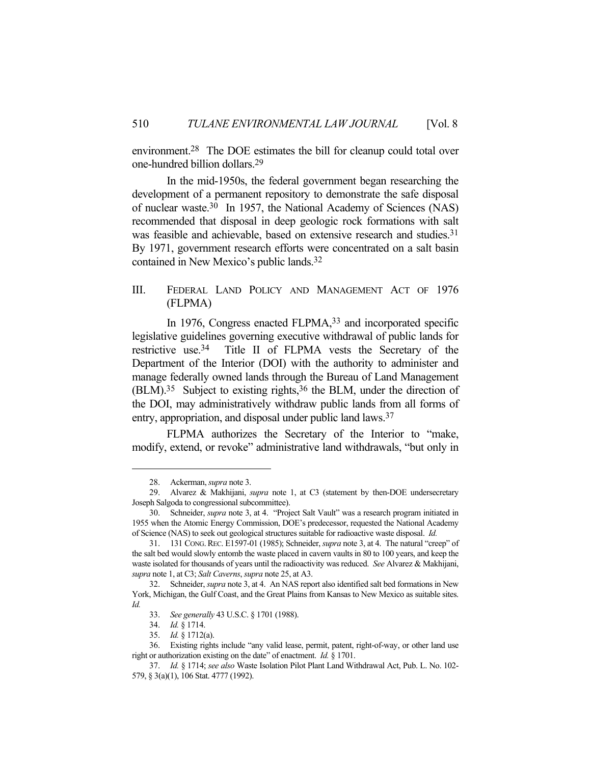environment.28 The DOE estimates the bill for cleanup could total over one-hundred billion dollars.29

 In the mid-1950s, the federal government began researching the development of a permanent repository to demonstrate the safe disposal of nuclear waste.30 In 1957, the National Academy of Sciences (NAS) recommended that disposal in deep geologic rock formations with salt was feasible and achievable, based on extensive research and studies.<sup>31</sup> By 1971, government research efforts were concentrated on a salt basin contained in New Mexico's public lands.32

### III. FEDERAL LAND POLICY AND MANAGEMENT ACT OF 1976 (FLPMA)

In 1976, Congress enacted FLPMA,<sup>33</sup> and incorporated specific legislative guidelines governing executive withdrawal of public lands for restrictive use.34 Title II of FLPMA vests the Secretary of the Department of the Interior (DOI) with the authority to administer and manage federally owned lands through the Bureau of Land Management (BLM).35 Subject to existing rights,36 the BLM, under the direction of the DOI, may administratively withdraw public lands from all forms of entry, appropriation, and disposal under public land laws.37

 FLPMA authorizes the Secretary of the Interior to "make, modify, extend, or revoke" administrative land withdrawals, "but only in

 <sup>28.</sup> Ackerman, *supra* note 3.

 <sup>29.</sup> Alvarez & Makhijani, *supra* note 1, at C3 (statement by then-DOE undersecretary Joseph Salgoda to congressional subcommittee).

 <sup>30.</sup> Schneider, *supra* note 3, at 4. "Project Salt Vault" was a research program initiated in 1955 when the Atomic Energy Commission, DOE's predecessor, requested the National Academy of Science (NAS) to seek out geological structures suitable for radioactive waste disposal. *Id.*

 <sup>31. 131</sup> CONG.REC. E1597-01 (1985); Schneider, *supra* note 3, at 4. The natural "creep" of the salt bed would slowly entomb the waste placed in cavern vaults in 80 to 100 years, and keep the waste isolated for thousands of years until the radioactivity was reduced. *See* Alvarez & Makhijani, *supra* note 1, at C3; *Salt Caverns*, *supra* note 25, at A3.

 <sup>32.</sup> Schneider, *supra* note 3, at 4. An NAS report also identified salt bed formations in New York, Michigan, the Gulf Coast, and the Great Plains from Kansas to New Mexico as suitable sites. *Id.*

 <sup>33.</sup> *See generally* 43 U.S.C. § 1701 (1988).

 <sup>34.</sup> *Id.* § 1714.

 <sup>35.</sup> *Id.* § 1712(a).

 <sup>36.</sup> Existing rights include "any valid lease, permit, patent, right-of-way, or other land use right or authorization existing on the date" of enactment. *Id.* § 1701.

 <sup>37.</sup> *Id.* § 1714; *see also* Waste Isolation Pilot Plant Land Withdrawal Act, Pub. L. No. 102- 579, § 3(a)(1), 106 Stat. 4777 (1992).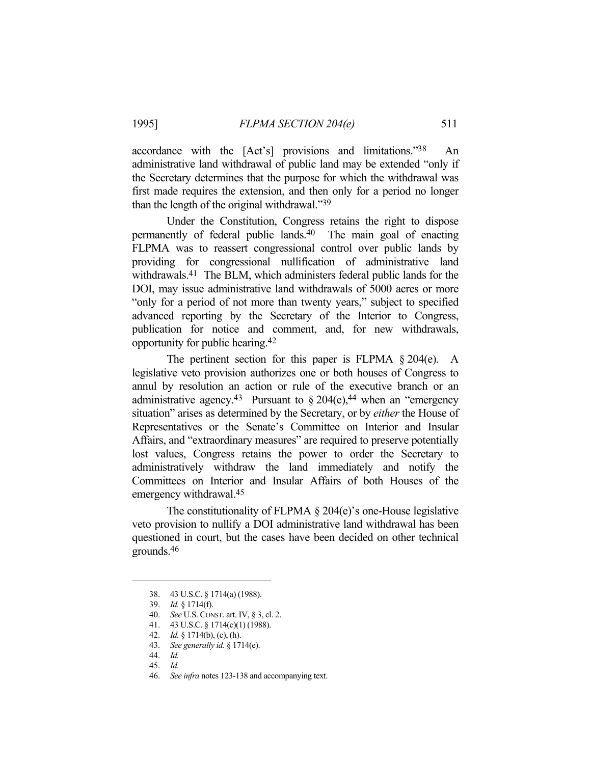accordance with the [Act's] provisions and limitations."38 An administrative land withdrawal of public land may be extended "only if the Secretary determines that the purpose for which the withdrawal was first made requires the extension, and then only for a period no longer than the length of the original withdrawal."39

 Under the Constitution, Congress retains the right to dispose permanently of federal public lands.40 The main goal of enacting FLPMA was to reassert congressional control over public lands by providing for congressional nullification of administrative land withdrawals.<sup>41</sup> The BLM, which administers federal public lands for the DOI, may issue administrative land withdrawals of 5000 acres or more "only for a period of not more than twenty years," subject to specified advanced reporting by the Secretary of the Interior to Congress, publication for notice and comment, and, for new withdrawals, opportunity for public hearing.42

 The pertinent section for this paper is FLPMA § 204(e). A legislative veto provision authorizes one or both houses of Congress to annul by resolution an action or rule of the executive branch or an administrative agency.<sup>43</sup> Pursuant to  $\S 204(e),<sup>44</sup>$  when an "emergency" situation" arises as determined by the Secretary, or by *either* the House of Representatives or the Senate's Committee on Interior and Insular Affairs, and "extraordinary measures" are required to preserve potentially lost values, Congress retains the power to order the Secretary to administratively withdraw the land immediately and notify the Committees on Interior and Insular Affairs of both Houses of the emergency withdrawal.45

The constitutionality of FLPMA § 204(e)'s one-House legislative veto provision to nullify a DOI administrative land withdrawal has been questioned in court, but the cases have been decided on other technical grounds.46

 <sup>38. 43</sup> U.S.C. § 1714(a) (1988).

 <sup>39.</sup> *Id.* § 1714(f).

 <sup>40.</sup> *See* U.S. CONST. art. IV, § 3, cl. 2.

 <sup>41. 43</sup> U.S.C. § 1714(c)(1) (1988).

 <sup>42.</sup> *Id.* § 1714(b), (c), (h).

 <sup>43.</sup> *See generally id.* § 1714(e).

 <sup>44.</sup> *Id.*

 <sup>45.</sup> *Id.*

 <sup>46.</sup> *See infra* notes 123-138 and accompanying text.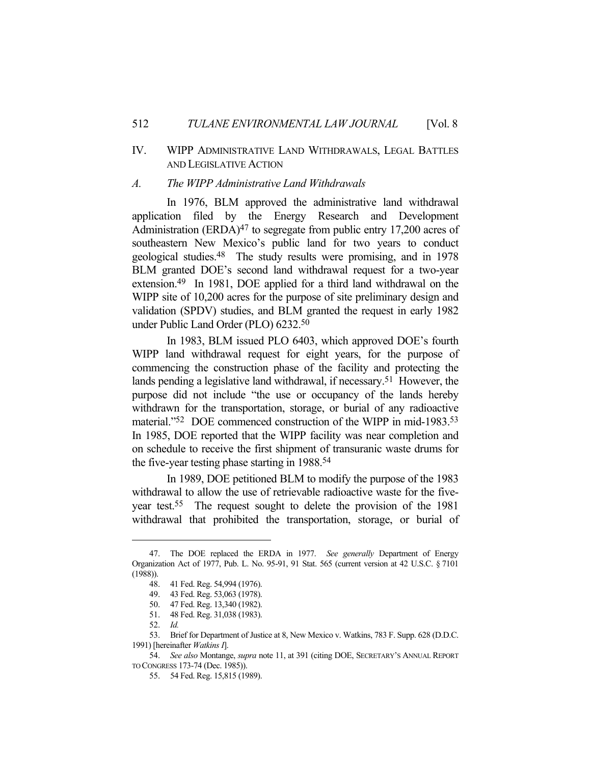## IV. WIPP ADMINISTRATIVE LAND WITHDRAWALS, LEGAL BATTLES AND LEGISLATIVE ACTION

#### *A. The WIPP Administrative Land Withdrawals*

 In 1976, BLM approved the administrative land withdrawal application filed by the Energy Research and Development Administration  $(ERDA)^{47}$  to segregate from public entry 17,200 acres of southeastern New Mexico's public land for two years to conduct geological studies.48 The study results were promising, and in 1978 BLM granted DOE's second land withdrawal request for a two-year extension.49 In 1981, DOE applied for a third land withdrawal on the WIPP site of 10,200 acres for the purpose of site preliminary design and validation (SPDV) studies, and BLM granted the request in early 1982 under Public Land Order (PLO) 6232.50

 In 1983, BLM issued PLO 6403, which approved DOE's fourth WIPP land withdrawal request for eight years, for the purpose of commencing the construction phase of the facility and protecting the lands pending a legislative land withdrawal, if necessary.51 However, the purpose did not include "the use or occupancy of the lands hereby withdrawn for the transportation, storage, or burial of any radioactive material."52 DOE commenced construction of the WIPP in mid-1983.53 In 1985, DOE reported that the WIPP facility was near completion and on schedule to receive the first shipment of transuranic waste drums for the five-year testing phase starting in 1988.54

 In 1989, DOE petitioned BLM to modify the purpose of the 1983 withdrawal to allow the use of retrievable radioactive waste for the fiveyear test.55 The request sought to delete the provision of the 1981 withdrawal that prohibited the transportation, storage, or burial of

 <sup>47.</sup> The DOE replaced the ERDA in 1977. *See generally* Department of Energy Organization Act of 1977, Pub. L. No. 95-91, 91 Stat. 565 (current version at 42 U.S.C. § 7101 (1988)).

 <sup>48. 41</sup> Fed. Reg. 54,994 (1976).

 <sup>49. 43</sup> Fed. Reg. 53,063 (1978).

 <sup>50. 47</sup> Fed. Reg. 13,340 (1982).

 <sup>51. 48</sup> Fed. Reg. 31,038 (1983).

 <sup>52.</sup> *Id.*

 <sup>53.</sup> Brief for Department of Justice at 8, New Mexico v. Watkins, 783 F. Supp. 628 (D.D.C. 1991) [hereinafter *Watkins I*].

 <sup>54.</sup> *See also* Montange, *supra* note 11, at 391 (citing DOE, SECRETARY'S ANNUAL REPORT TO CONGRESS 173-74 (Dec. 1985)).

 <sup>55. 54</sup> Fed. Reg. 15,815 (1989).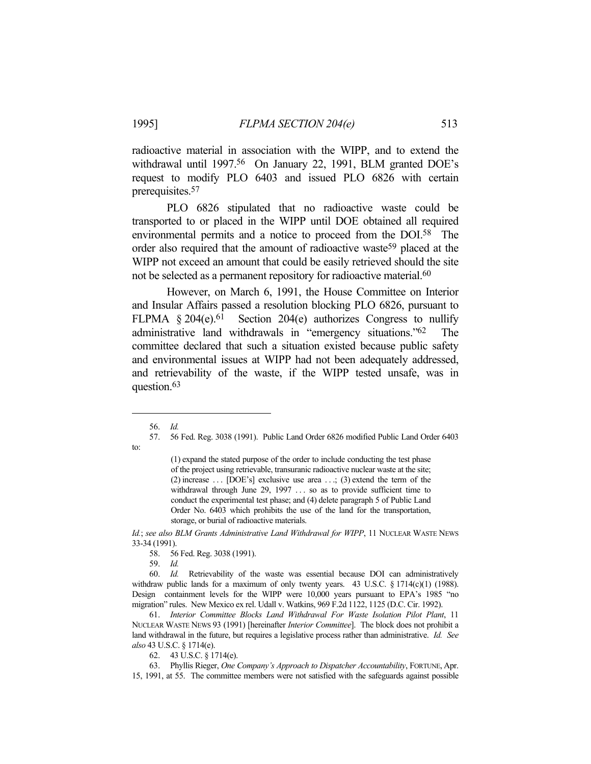radioactive material in association with the WIPP, and to extend the withdrawal until 1997.<sup>56</sup> On January 22, 1991, BLM granted DOE's request to modify PLO 6403 and issued PLO 6826 with certain prerequisites.57

PLO 6826 stipulated that no radioactive waste could be transported to or placed in the WIPP until DOE obtained all required environmental permits and a notice to proceed from the DOI.58 The order also required that the amount of radioactive waste<sup>59</sup> placed at the WIPP not exceed an amount that could be easily retrieved should the site not be selected as a permanent repository for radioactive material.<sup>60</sup>

 However, on March 6, 1991, the House Committee on Interior and Insular Affairs passed a resolution blocking PLO 6826, pursuant to FLPMA  $§ 204(e).61$  Section 204(e) authorizes Congress to nullify administrative land withdrawals in "emergency situations."62 The committee declared that such a situation existed because public safety and environmental issues at WIPP had not been adequately addressed, and retrievability of the waste, if the WIPP tested unsafe, was in question.63

to:

*Id.*; *see also BLM Grants Administrative Land Withdrawal for WIPP*, 11 NUCLEAR WASTE NEWS 33-34 (1991).

59. *Id.*

 60. *Id.* Retrievability of the waste was essential because DOI can administratively withdraw public lands for a maximum of only twenty years. 43 U.S.C. § 1714(c)(1) (1988). Design containment levels for the WIPP were 10,000 years pursuant to EPA's 1985 "no migration" rules. New Mexico ex rel. Udall v. Watkins, 969 F.2d 1122, 1125 (D.C. Cir. 1992).

 61. *Interior Committee Blocks Land Withdrawal For Waste Isolation Pilot Plant*, 11 NUCLEAR WASTE NEWS 93 (1991) [hereinafter *Interior Committee*]. The block does not prohibit a land withdrawal in the future, but requires a legislative process rather than administrative. *Id. See also* 43 U.S.C. § 1714(e).

62. 43 U.S.C. § 1714(e).

 63. Phyllis Rieger, *One Company's Approach to Dispatcher Accountability*, FORTUNE, Apr. 15, 1991, at 55. The committee members were not satisfied with the safeguards against possible

 <sup>56.</sup> *Id.*

 <sup>57. 56</sup> Fed. Reg. 3038 (1991). Public Land Order 6826 modified Public Land Order 6403

<sup>(1)</sup> expand the stated purpose of the order to include conducting the test phase of the project using retrievable, transuranic radioactive nuclear waste at the site; (2) increase  $\ldots$  [DOE's] exclusive use area  $\ldots$ ; (3) extend the term of the withdrawal through June 29, 1997 ... so as to provide sufficient time to conduct the experimental test phase; and (4) delete paragraph 5 of Public Land Order No. 6403 which prohibits the use of the land for the transportation, storage, or burial of radioactive materials.

 <sup>58. 56</sup> Fed. Reg. 3038 (1991).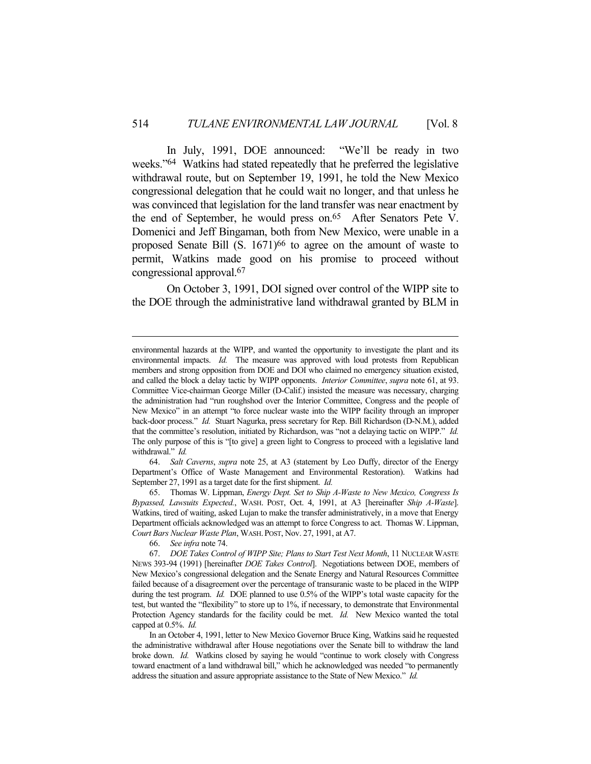In July, 1991, DOE announced: "We'll be ready in two weeks."64 Watkins had stated repeatedly that he preferred the legislative withdrawal route, but on September 19, 1991, he told the New Mexico congressional delegation that he could wait no longer, and that unless he was convinced that legislation for the land transfer was near enactment by the end of September, he would press on.<sup>65</sup> After Senators Pete V. Domenici and Jeff Bingaman, both from New Mexico, were unable in a proposed Senate Bill (S. 1671)<sup>66</sup> to agree on the amount of waste to permit, Watkins made good on his promise to proceed without congressional approval.67

 On October 3, 1991, DOI signed over control of the WIPP site to the DOE through the administrative land withdrawal granted by BLM in

 64. *Salt Caverns*, *supra* note 25, at A3 (statement by Leo Duffy, director of the Energy Department's Office of Waste Management and Environmental Restoration). Watkins had September 27, 1991 as a target date for the first shipment. *Id.*

 65. Thomas W. Lippman, *Energy Dept. Set to Ship A-Waste to New Mexico, Congress Is Bypassed, Lawsuits Expected.*, WASH. POST, Oct. 4, 1991, at A3 [hereinafter *Ship A-Waste*]. Watkins, tired of waiting, asked Lujan to make the transfer administratively, in a move that Energy Department officials acknowledged was an attempt to force Congress to act. Thomas W. Lippman, *Court Bars Nuclear Waste Plan*, WASH. POST, Nov. 27, 1991, at A7.

environmental hazards at the WIPP, and wanted the opportunity to investigate the plant and its environmental impacts. *Id.* The measure was approved with loud protests from Republican members and strong opposition from DOE and DOI who claimed no emergency situation existed, and called the block a delay tactic by WIPP opponents. *Interior Committee*, *supra* note 61, at 93. Committee Vice-chairman George Miller (D-Calif.) insisted the measure was necessary, charging the administration had "run roughshod over the Interior Committee, Congress and the people of New Mexico" in an attempt "to force nuclear waste into the WIPP facility through an improper back-door process." *Id.* Stuart Nagurka, press secretary for Rep. Bill Richardson (D-N.M.), added that the committee's resolution, initiated by Richardson, was "not a delaying tactic on WIPP." *Id.* The only purpose of this is "[to give] a green light to Congress to proceed with a legislative land withdrawal." *Id.*

 <sup>66.</sup> *See infra* note 74.

 <sup>67.</sup> *DOE Takes Control of WIPP Site; Plans to Start Test Next Month*, 11 NUCLEAR WASTE NEWS 393-94 (1991) [hereinafter *DOE Takes Control*]. Negotiations between DOE, members of New Mexico's congressional delegation and the Senate Energy and Natural Resources Committee failed because of a disagreement over the percentage of transuranic waste to be placed in the WIPP during the test program. *Id.* DOE planned to use 0.5% of the WIPP's total waste capacity for the test, but wanted the "flexibility" to store up to 1%, if necessary, to demonstrate that Environmental Protection Agency standards for the facility could be met. *Id.* New Mexico wanted the total capped at 0.5%. *Id.*

In an October 4, 1991, letter to New Mexico Governor Bruce King, Watkins said he requested the administrative withdrawal after House negotiations over the Senate bill to withdraw the land broke down. *Id.* Watkins closed by saying he would "continue to work closely with Congress toward enactment of a land withdrawal bill," which he acknowledged was needed "to permanently address the situation and assure appropriate assistance to the State of New Mexico." *Id.*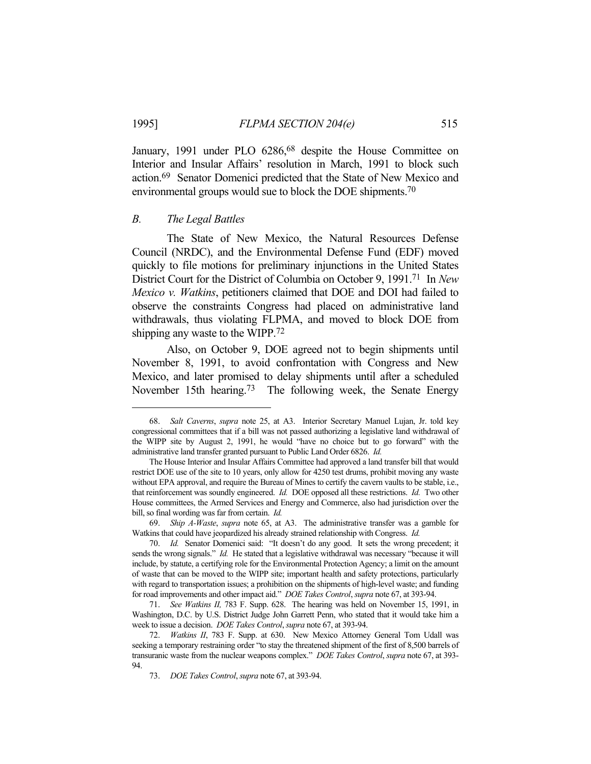January, 1991 under PLO 6286,<sup>68</sup> despite the House Committee on Interior and Insular Affairs' resolution in March, 1991 to block such action.69 Senator Domenici predicted that the State of New Mexico and environmental groups would sue to block the DOE shipments.70

### *B. The Legal Battles*

 The State of New Mexico, the Natural Resources Defense Council (NRDC), and the Environmental Defense Fund (EDF) moved quickly to file motions for preliminary injunctions in the United States District Court for the District of Columbia on October 9, 1991.71 In *New Mexico v. Watkins*, petitioners claimed that DOE and DOI had failed to observe the constraints Congress had placed on administrative land withdrawals, thus violating FLPMA, and moved to block DOE from shipping any waste to the WIPP.72

 Also, on October 9, DOE agreed not to begin shipments until November 8, 1991, to avoid confrontation with Congress and New Mexico, and later promised to delay shipments until after a scheduled November 15th hearing.<sup>73</sup> The following week, the Senate Energy

 <sup>68.</sup> *Salt Caverns*, *supra* note 25, at A3. Interior Secretary Manuel Lujan, Jr. told key congressional committees that if a bill was not passed authorizing a legislative land withdrawal of the WIPP site by August 2, 1991, he would "have no choice but to go forward" with the administrative land transfer granted pursuant to Public Land Order 6826. *Id.*

The House Interior and Insular Affairs Committee had approved a land transfer bill that would restrict DOE use of the site to 10 years, only allow for 4250 test drums, prohibit moving any waste without EPA approval, and require the Bureau of Mines to certify the cavern vaults to be stable, i.e., that reinforcement was soundly engineered. *Id.* DOE opposed all these restrictions. *Id.* Two other House committees, the Armed Services and Energy and Commerce, also had jurisdiction over the bill, so final wording was far from certain. *Id.*

 <sup>69.</sup> *Ship A-Waste*, *supra* note 65, at A3. The administrative transfer was a gamble for Watkins that could have jeopardized his already strained relationship with Congress. *Id.*

 <sup>70.</sup> *Id.* Senator Domenici said: "It doesn't do any good. It sets the wrong precedent; it sends the wrong signals." *Id.* He stated that a legislative withdrawal was necessary "because it will include, by statute, a certifying role for the Environmental Protection Agency; a limit on the amount of waste that can be moved to the WIPP site; important health and safety protections, particularly with regard to transportation issues; a prohibition on the shipments of high-level waste; and funding for road improvements and other impact aid." *DOE Takes Control*, *supra* note 67, at 393-94.

 <sup>71.</sup> *See Watkins II,* 783 F. Supp. 628. The hearing was held on November 15, 1991, in Washington, D.C. by U.S. District Judge John Garrett Penn, who stated that it would take him a week to issue a decision. *DOE Takes Control*, *supra* note 67, at 393-94.

 <sup>72.</sup> *Watkins II*, 783 F. Supp. at 630. New Mexico Attorney General Tom Udall was seeking a temporary restraining order "to stay the threatened shipment of the first of 8,500 barrels of transuranic waste from the nuclear weapons complex." *DOE Takes Control*, *supra* note 67, at 393- 94.

 <sup>73.</sup> *DOE Takes Control*, *supra* note 67, at 393-94.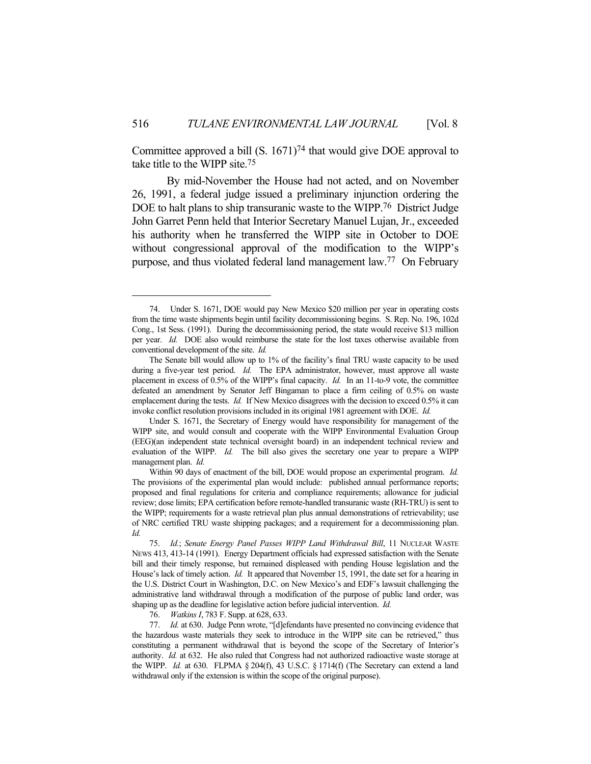Committee approved a bill  $(S. 1671)^{74}$  that would give DOE approval to take title to the WIPP site.75

 By mid-November the House had not acted, and on November 26, 1991, a federal judge issued a preliminary injunction ordering the DOE to halt plans to ship transuranic waste to the WIPP.<sup>76</sup> District Judge John Garret Penn held that Interior Secretary Manuel Lujan, Jr., exceeded his authority when he transferred the WIPP site in October to DOE without congressional approval of the modification to the WIPP's purpose, and thus violated federal land management law.77 On February

76. *Watkins I*, 783 F. Supp. at 628, 633.

 <sup>74.</sup> Under S. 1671, DOE would pay New Mexico \$20 million per year in operating costs from the time waste shipments begin until facility decommissioning begins. S. Rep. No. 196, 102d Cong., 1st Sess. (1991). During the decommissioning period, the state would receive \$13 million per year. *Id.* DOE also would reimburse the state for the lost taxes otherwise available from conventional development of the site. *Id.*

The Senate bill would allow up to 1% of the facility's final TRU waste capacity to be used during a five-year test period. *Id.* The EPA administrator, however, must approve all waste placement in excess of 0.5% of the WIPP's final capacity. *Id.* In an 11-to-9 vote, the committee defeated an amendment by Senator Jeff Bingaman to place a firm ceiling of 0.5% on waste emplacement during the tests. *Id.* If New Mexico disagrees with the decision to exceed 0.5% it can invoke conflict resolution provisions included in its original 1981 agreement with DOE. *Id.*

Under S. 1671, the Secretary of Energy would have responsibility for management of the WIPP site, and would consult and cooperate with the WIPP Environmental Evaluation Group (EEG)(an independent state technical oversight board) in an independent technical review and evaluation of the WIPP. *Id.* The bill also gives the secretary one year to prepare a WIPP management plan. *Id.*

Within 90 days of enactment of the bill, DOE would propose an experimental program. *Id.* The provisions of the experimental plan would include: published annual performance reports; proposed and final regulations for criteria and compliance requirements; allowance for judicial review; dose limits; EPA certification before remote-handled transuranic waste (RH-TRU) is sent to the WIPP; requirements for a waste retrieval plan plus annual demonstrations of retrievability; use of NRC certified TRU waste shipping packages; and a requirement for a decommissioning plan. *Id.*

 <sup>75.</sup> *Id.*; *Senate Energy Panel Passes WIPP Land Withdrawal Bill*, 11 NUCLEAR WASTE NEWS 413, 413-14 (1991). Energy Department officials had expressed satisfaction with the Senate bill and their timely response, but remained displeased with pending House legislation and the House's lack of timely action. *Id.* It appeared that November 15, 1991, the date set for a hearing in the U.S. District Court in Washington, D.C. on New Mexico's and EDF's lawsuit challenging the administrative land withdrawal through a modification of the purpose of public land order, was shaping up as the deadline for legislative action before judicial intervention. *Id.*

 <sup>77.</sup> *Id.* at 630. Judge Penn wrote, "[d]efendants have presented no convincing evidence that the hazardous waste materials they seek to introduce in the WIPP site can be retrieved," thus constituting a permanent withdrawal that is beyond the scope of the Secretary of Interior's authority. *Id.* at 632. He also ruled that Congress had not authorized radioactive waste storage at the WIPP. *Id.* at 630. FLPMA  $\S$  204(f), 43 U.S.C.  $\S$  1714(f) (The Secretary can extend a land withdrawal only if the extension is within the scope of the original purpose).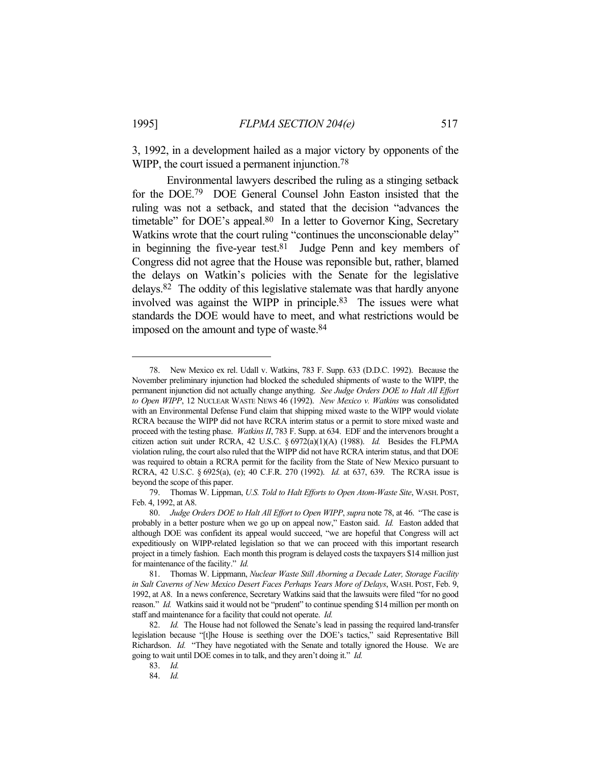3, 1992, in a development hailed as a major victory by opponents of the WIPP, the court issued a permanent injunction.<sup>78</sup>

 Environmental lawyers described the ruling as a stinging setback for the DOE.79 DOE General Counsel John Easton insisted that the ruling was not a setback, and stated that the decision "advances the timetable" for DOE's appeal.<sup>80</sup> In a letter to Governor King, Secretary Watkins wrote that the court ruling "continues the unconscionable delay" in beginning the five-year test. $81$  Judge Penn and key members of Congress did not agree that the House was reponsible but, rather, blamed the delays on Watkin's policies with the Senate for the legislative delays.82 The oddity of this legislative stalemate was that hardly anyone involved was against the WIPP in principle.83 The issues were what standards the DOE would have to meet, and what restrictions would be imposed on the amount and type of waste.<sup>84</sup>

 <sup>78.</sup> New Mexico ex rel. Udall v. Watkins, 783 F. Supp. 633 (D.D.C. 1992). Because the November preliminary injunction had blocked the scheduled shipments of waste to the WIPP, the permanent injunction did not actually change anything. *See Judge Orders DOE to Halt All Effort to Open WIPP*, 12 NUCLEAR WASTE NEWS 46 (1992). *New Mexico v. Watkins* was consolidated with an Environmental Defense Fund claim that shipping mixed waste to the WIPP would violate RCRA because the WIPP did not have RCRA interim status or a permit to store mixed waste and proceed with the testing phase. *Watkins II*, 783 F. Supp. at 634. EDF and the intervenors brought a citizen action suit under RCRA, 42 U.S.C. § 6972(a)(1)(A) (1988). *Id.* Besides the FLPMA violation ruling, the court also ruled that the WIPP did not have RCRA interim status, and that DOE was required to obtain a RCRA permit for the facility from the State of New Mexico pursuant to RCRA, 42 U.S.C. § 6925(a), (e); 40 C.F.R. 270 (1992). *Id.* at 637, 639. The RCRA issue is beyond the scope of this paper.

 <sup>79.</sup> Thomas W. Lippman, *U.S. Told to Halt Efforts to Open Atom-Waste Site*, WASH. POST, Feb. 4, 1992, at A8.

 <sup>80.</sup> *Judge Orders DOE to Halt All Effort to Open WIPP*, *supra* note 78, at 46. "The case is probably in a better posture when we go up on appeal now," Easton said. *Id.* Easton added that although DOE was confident its appeal would succeed, "we are hopeful that Congress will act expeditiously on WIPP-related legislation so that we can proceed with this important research project in a timely fashion. Each month this program is delayed costs the taxpayers \$14 million just for maintenance of the facility." *Id.*

 <sup>81.</sup> Thomas W. Lippmann, *Nuclear Waste Still Aborning a Decade Later, Storage Facility in Salt Caverns of New Mexico Desert Faces Perhaps Years More of Delays*, WASH. POST, Feb. 9, 1992, at A8. In a news conference, Secretary Watkins said that the lawsuits were filed "for no good reason." *Id.* Watkins said it would not be "prudent" to continue spending \$14 million per month on staff and maintenance for a facility that could not operate. *Id.*

 <sup>82.</sup> *Id.* The House had not followed the Senate's lead in passing the required land-transfer legislation because "[t]he House is seething over the DOE's tactics," said Representative Bill Richardson. *Id.* "They have negotiated with the Senate and totally ignored the House. We are going to wait until DOE comes in to talk, and they aren't doing it." *Id.*

 <sup>83.</sup> *Id.*

 <sup>84.</sup> *Id.*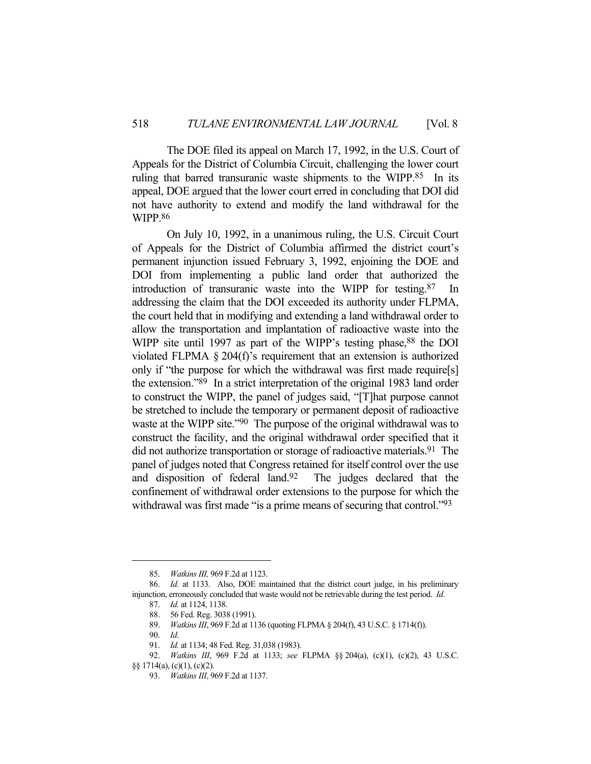The DOE filed its appeal on March 17, 1992, in the U.S. Court of Appeals for the District of Columbia Circuit, challenging the lower court ruling that barred transuranic waste shipments to the WIPP.<sup>85</sup> In its appeal, DOE argued that the lower court erred in concluding that DOI did not have authority to extend and modify the land withdrawal for the WIPP.86

 On July 10, 1992, in a unanimous ruling, the U.S. Circuit Court of Appeals for the District of Columbia affirmed the district court's permanent injunction issued February 3, 1992, enjoining the DOE and DOI from implementing a public land order that authorized the introduction of transuranic waste into the WIPP for testing.87 In addressing the claim that the DOI exceeded its authority under FLPMA, the court held that in modifying and extending a land withdrawal order to allow the transportation and implantation of radioactive waste into the WIPP site until 1997 as part of the WIPP's testing phase,<sup>88</sup> the DOI violated FLPMA § 204(f)'s requirement that an extension is authorized only if "the purpose for which the withdrawal was first made require[s] the extension."89 In a strict interpretation of the original 1983 land order to construct the WIPP, the panel of judges said, "[T]hat purpose cannot be stretched to include the temporary or permanent deposit of radioactive waste at the WIPP site."<sup>90</sup> The purpose of the original withdrawal was to construct the facility, and the original withdrawal order specified that it did not authorize transportation or storage of radioactive materials.<sup>91</sup> The panel of judges noted that Congress retained for itself control over the use and disposition of federal land.92 The judges declared that the confinement of withdrawal order extensions to the purpose for which the withdrawal was first made "is a prime means of securing that control."<sup>93</sup>

§§ 1714(a), (c)(1), (c)(2).

 <sup>85.</sup> *Watkins III,* 969 F.2d at 1123.

 <sup>86.</sup> *Id.* at 1133. Also, DOE maintained that the district court judge, in his preliminary injunction, erroneously concluded that waste would not be retrievable during the test period. *Id.*

 <sup>87.</sup> *Id.* at 1124, 1138.

 <sup>88. 56</sup> Fed. Reg. 3038 (1991).

 <sup>89.</sup> *Watkins III*, 969 F.2d at 1136 (quoting FLPMA § 204(f), 43 U.S.C. § 1714(f)).

 <sup>90.</sup> *Id*.

 <sup>91.</sup> *Id.* at 1134; 48 Fed. Reg. 31,038 (1983).

 <sup>92.</sup> *Watkins III*, 969 F.2d at 1133; *see* FLPMA §§ 204(a), (c)(1), (c)(2), 43 U.S.C.

 <sup>93.</sup> *Watkins III*, 969 F.2d at 1137.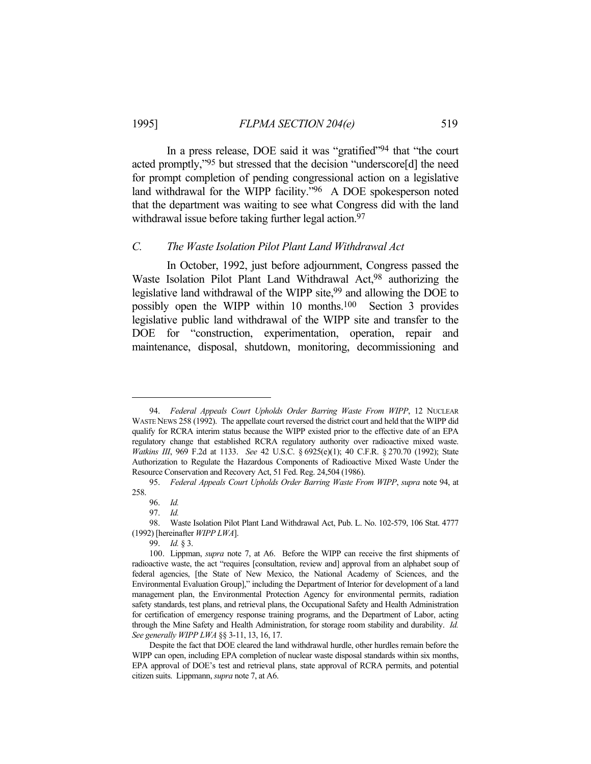In a press release, DOE said it was "gratified"94 that "the court acted promptly,"95 but stressed that the decision "underscore[d] the need for prompt completion of pending congressional action on a legislative land withdrawal for the WIPP facility."96 A DOE spokesperson noted that the department was waiting to see what Congress did with the land withdrawal issue before taking further legal action.<sup>97</sup>

#### *C. The Waste Isolation Pilot Plant Land Withdrawal Act*

 In October, 1992, just before adjournment, Congress passed the Waste Isolation Pilot Plant Land Withdrawal Act,98 authorizing the legislative land withdrawal of the WIPP site,<sup>99</sup> and allowing the DOE to possibly open the WIPP within 10 months.100 Section 3 provides legislative public land withdrawal of the WIPP site and transfer to the DOE for "construction, experimentation, operation, repair and maintenance, disposal, shutdown, monitoring, decommissioning and

 <sup>94.</sup> *Federal Appeals Court Upholds Order Barring Waste From WIPP*, 12 NUCLEAR WASTE NEWS 258 (1992). The appellate court reversed the district court and held that the WIPP did qualify for RCRA interim status because the WIPP existed prior to the effective date of an EPA regulatory change that established RCRA regulatory authority over radioactive mixed waste. *Watkins III*, 969 F.2d at 1133. *See* 42 U.S.C. § 6925(e)(1); 40 C.F.R. § 270.70 (1992); State Authorization to Regulate the Hazardous Components of Radioactive Mixed Waste Under the Resource Conservation and Recovery Act, 51 Fed. Reg. 24,504 (1986).

 <sup>95.</sup> *Federal Appeals Court Upholds Order Barring Waste From WIPP*, *supra* note 94, at 258.

 <sup>96.</sup> *Id.*

 <sup>97.</sup> *Id.*

 <sup>98.</sup> Waste Isolation Pilot Plant Land Withdrawal Act, Pub. L. No. 102-579, 106 Stat. 4777 (1992) [hereinafter *WIPP LWA*].

 <sup>99.</sup> *Id.* § 3.

 <sup>100.</sup> Lippman, *supra* note 7, at A6. Before the WIPP can receive the first shipments of radioactive waste, the act "requires [consultation, review and] approval from an alphabet soup of federal agencies, [the State of New Mexico, the National Academy of Sciences, and the Environmental Evaluation Group]," including the Department of Interior for development of a land management plan, the Environmental Protection Agency for environmental permits, radiation safety standards, test plans, and retrieval plans, the Occupational Safety and Health Administration for certification of emergency response training programs, and the Department of Labor, acting through the Mine Safety and Health Administration, for storage room stability and durability. *Id. See generally WIPP LWA* §§ 3-11, 13, 16, 17.

Despite the fact that DOE cleared the land withdrawal hurdle, other hurdles remain before the WIPP can open, including EPA completion of nuclear waste disposal standards within six months, EPA approval of DOE's test and retrieval plans, state approval of RCRA permits, and potential citizen suits. Lippmann, *supra* note 7, at A6.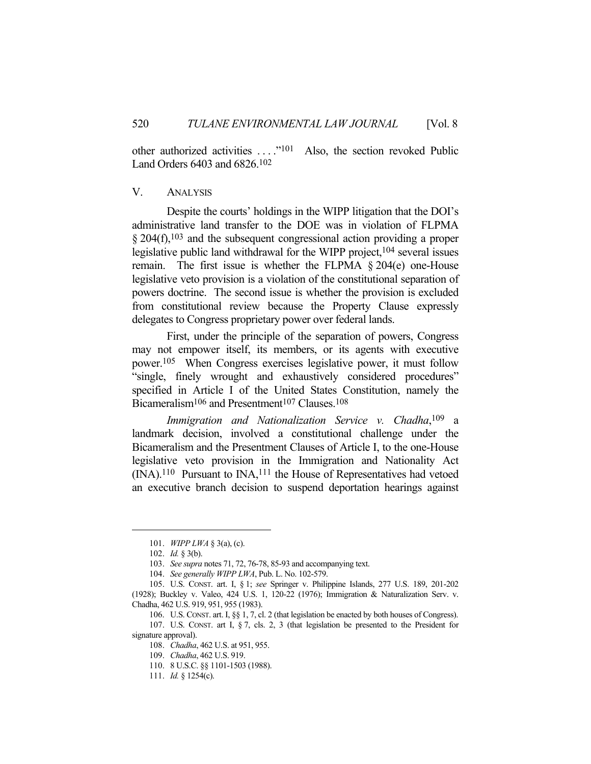other authorized activities ...."<sup>101</sup> Also, the section revoked Public Land Orders 6403 and 6826.102

#### V. ANALYSIS

 Despite the courts' holdings in the WIPP litigation that the DOI's administrative land transfer to the DOE was in violation of FLPMA § 204(f),<sup>103</sup> and the subsequent congressional action providing a proper legislative public land withdrawal for the WIPP project,  $104$  several issues remain. The first issue is whether the FLPMA § 204(e) one-House legislative veto provision is a violation of the constitutional separation of powers doctrine. The second issue is whether the provision is excluded from constitutional review because the Property Clause expressly delegates to Congress proprietary power over federal lands.

 First, under the principle of the separation of powers, Congress may not empower itself, its members, or its agents with executive power.105 When Congress exercises legislative power, it must follow "single, finely wrought and exhaustively considered procedures" specified in Article I of the United States Constitution, namely the Bicameralism<sup>106</sup> and Presentment<sup>107</sup> Clauses.<sup>108</sup>

*Immigration and Nationalization Service v. Chadha*, 109 a landmark decision, involved a constitutional challenge under the Bicameralism and the Presentment Clauses of Article I, to the one-House legislative veto provision in the Immigration and Nationality Act  $(NA).<sup>110</sup>$  Pursuant to INA,<sup>111</sup> the House of Representatives had vetoed an executive branch decision to suspend deportation hearings against

111. *Id.* § 1254(c).

 <sup>101.</sup> *WIPP LWA* § 3(a), (c).

 <sup>102.</sup> *Id.* § 3(b).

 <sup>103.</sup> *See supra* notes 71, 72, 76-78, 85-93 and accompanying text.

 <sup>104.</sup> *See generally WIPP LWA*, Pub. L. No. 102-579.

 <sup>105.</sup> U.S. CONST. art. I, § 1; *see* Springer v. Philippine Islands, 277 U.S. 189, 201-202 (1928); Buckley v. Valeo, 424 U.S. 1, 120-22 (1976); Immigration & Naturalization Serv. v. Chadha, 462 U.S. 919, 951, 955 (1983).

 <sup>106.</sup> U.S. CONST. art. I, §§ 1, 7, cl. 2 (that legislation be enacted by both houses of Congress). 107. U.S. CONST. art I, § 7, cls. 2, 3 (that legislation be presented to the President for

signature approval).

 <sup>108.</sup> *Chadha*, 462 U.S. at 951, 955.

 <sup>109.</sup> *Chadha*, 462 U.S. 919.

 <sup>110. 8</sup> U.S.C. §§ 1101-1503 (1988).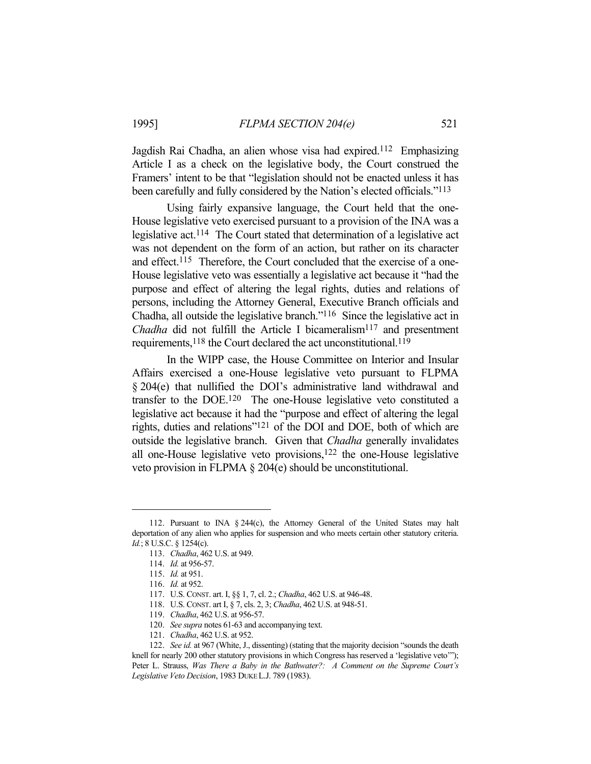Jagdish Rai Chadha, an alien whose visa had expired.112 Emphasizing Article I as a check on the legislative body, the Court construed the Framers' intent to be that "legislation should not be enacted unless it has been carefully and fully considered by the Nation's elected officials."113

 Using fairly expansive language, the Court held that the one-House legislative veto exercised pursuant to a provision of the INA was a legislative act.114 The Court stated that determination of a legislative act was not dependent on the form of an action, but rather on its character and effect.<sup>115</sup> Therefore, the Court concluded that the exercise of a one-House legislative veto was essentially a legislative act because it "had the purpose and effect of altering the legal rights, duties and relations of persons, including the Attorney General, Executive Branch officials and Chadha, all outside the legislative branch."116 Since the legislative act in *Chadha* did not fulfill the Article I bicameralism<sup>117</sup> and presentment requirements,<sup>118</sup> the Court declared the act unconstitutional.<sup>119</sup>

 In the WIPP case, the House Committee on Interior and Insular Affairs exercised a one-House legislative veto pursuant to FLPMA § 204(e) that nullified the DOI's administrative land withdrawal and transfer to the DOE.120 The one-House legislative veto constituted a legislative act because it had the "purpose and effect of altering the legal rights, duties and relations"121 of the DOI and DOE, both of which are outside the legislative branch. Given that *Chadha* generally invalidates all one-House legislative veto provisions,122 the one-House legislative veto provision in FLPMA § 204(e) should be unconstitutional.

 <sup>112.</sup> Pursuant to INA § 244(c), the Attorney General of the United States may halt deportation of any alien who applies for suspension and who meets certain other statutory criteria. *Id.*; 8 U.S.C. § 1254(c).

 <sup>113.</sup> *Chadha*, 462 U.S. at 949.

 <sup>114.</sup> *Id.* at 956-57.

 <sup>115.</sup> *Id.* at 951.

 <sup>116.</sup> *Id.* at 952.

 <sup>117.</sup> U.S. CONST. art. I, §§ 1, 7, cl. 2.; *Chadha*, 462 U.S. at 946-48.

 <sup>118.</sup> U.S. CONST. art I, § 7, cls. 2, 3; *Chadha*, 462 U.S. at 948-51.

 <sup>119.</sup> *Chadha*, 462 U.S. at 956-57.

 <sup>120.</sup> *See supra* notes 61-63 and accompanying text.

 <sup>121.</sup> *Chadha*, 462 U.S. at 952.

 <sup>122.</sup> *See id.* at 967 (White, J., dissenting) (stating that the majority decision "sounds the death knell for nearly 200 other statutory provisions in which Congress has reserved a 'legislative veto'"); Peter L. Strauss, *Was There a Baby in the Bathwater?: A Comment on the Supreme Court's Legislative Veto Decision*, 1983 DUKE L.J. 789 (1983).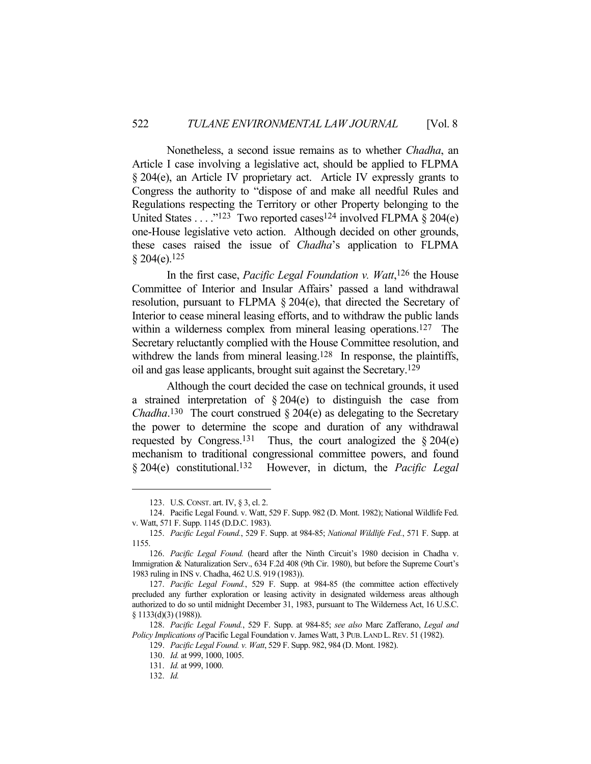Nonetheless, a second issue remains as to whether *Chadha*, an Article I case involving a legislative act, should be applied to FLPMA § 204(e), an Article IV proprietary act. Article IV expressly grants to Congress the authority to "dispose of and make all needful Rules and Regulations respecting the Territory or other Property belonging to the United States . . . . "123 Two reported cases<sup>124</sup> involved FLPMA  $\S 204(e)$ one-House legislative veto action. Although decided on other grounds, these cases raised the issue of *Chadha*'s application to FLPMA  $§ 204(e).$ <sup>125</sup>

 In the first case, *Pacific Legal Foundation v. Watt*, 126 the House Committee of Interior and Insular Affairs' passed a land withdrawal resolution, pursuant to FLPMA § 204(e), that directed the Secretary of Interior to cease mineral leasing efforts, and to withdraw the public lands within a wilderness complex from mineral leasing operations.<sup>127</sup> The Secretary reluctantly complied with the House Committee resolution, and withdrew the lands from mineral leasing.<sup>128</sup> In response, the plaintiffs, oil and gas lease applicants, brought suit against the Secretary.129

 Although the court decided the case on technical grounds, it used a strained interpretation of § 204(e) to distinguish the case from *Chadha*.<sup>130</sup> The court construed  $\S 204(e)$  as delegating to the Secretary the power to determine the scope and duration of any withdrawal requested by Congress.<sup>131</sup> Thus, the court analogized the  $\S 204(e)$ mechanism to traditional congressional committee powers, and found § 204(e) constitutional.132 However, in dictum, the *Pacific Legal* 

 <sup>123.</sup> U.S. CONST. art. IV, § 3, cl. 2.

 <sup>124.</sup> Pacific Legal Found. v. Watt, 529 F. Supp. 982 (D. Mont. 1982); National Wildlife Fed. v. Watt, 571 F. Supp. 1145 (D.D.C. 1983).

 <sup>125.</sup> *Pacific Legal Found.*, 529 F. Supp. at 984-85; *National Wildlife Fed.*, 571 F. Supp. at 1155.

 <sup>126.</sup> *Pacific Legal Found.* (heard after the Ninth Circuit's 1980 decision in Chadha v. Immigration & Naturalization Serv., 634 F.2d 408 (9th Cir. 1980), but before the Supreme Court's 1983 ruling in INS v. Chadha, 462 U.S. 919 (1983)).

 <sup>127.</sup> *Pacific Legal Found.*, 529 F. Supp. at 984-85 (the committee action effectively precluded any further exploration or leasing activity in designated wilderness areas although authorized to do so until midnight December 31, 1983, pursuant to The Wilderness Act, 16 U.S.C. § 1133(d)(3) (1988)).

 <sup>128.</sup> *Pacific Legal Found.*, 529 F. Supp. at 984-85; *see also* Marc Zafferano, *Legal and Policy Implications of* Pacific Legal Foundation v. James Watt, 3 PUB.LAND L.REV. 51 (1982).

 <sup>129.</sup> *Pacific Legal Found. v. Watt*, 529 F. Supp. 982, 984 (D. Mont. 1982).

 <sup>130.</sup> *Id.* at 999, 1000, 1005.

 <sup>131.</sup> *Id.* at 999, 1000.

 <sup>132.</sup> *Id.*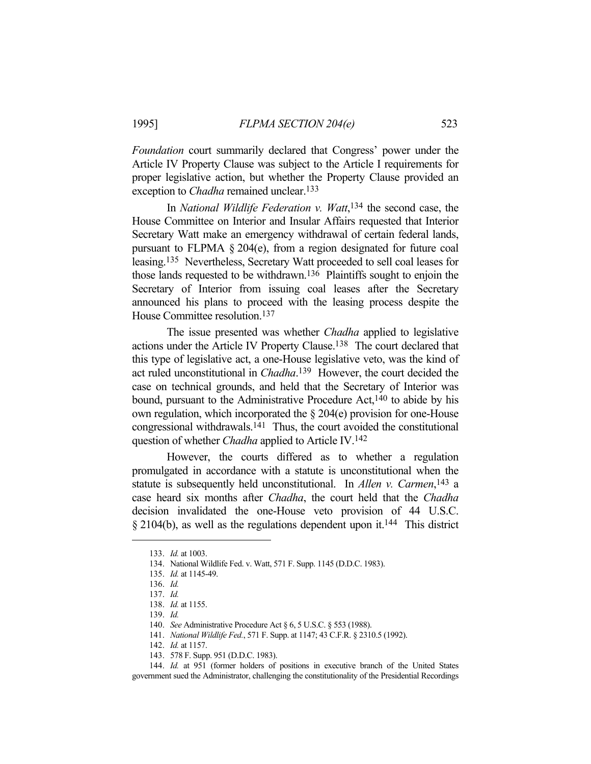*Foundation* court summarily declared that Congress' power under the Article IV Property Clause was subject to the Article I requirements for proper legislative action, but whether the Property Clause provided an exception to *Chadha* remained unclear.<sup>133</sup>

 In *National Wildlife Federation v. Watt*, 134 the second case, the House Committee on Interior and Insular Affairs requested that Interior Secretary Watt make an emergency withdrawal of certain federal lands, pursuant to FLPMA § 204(e), from a region designated for future coal leasing.135 Nevertheless, Secretary Watt proceeded to sell coal leases for those lands requested to be withdrawn.136 Plaintiffs sought to enjoin the Secretary of Interior from issuing coal leases after the Secretary announced his plans to proceed with the leasing process despite the House Committee resolution.137

 The issue presented was whether *Chadha* applied to legislative actions under the Article IV Property Clause.138 The court declared that this type of legislative act, a one-House legislative veto, was the kind of act ruled unconstitutional in *Chadha*. 139 However, the court decided the case on technical grounds, and held that the Secretary of Interior was bound, pursuant to the Administrative Procedure Act,  $140$  to abide by his own regulation, which incorporated the § 204(e) provision for one-House congressional withdrawals.141 Thus, the court avoided the constitutional question of whether *Chadha* applied to Article IV.142

 However, the courts differed as to whether a regulation promulgated in accordance with a statute is unconstitutional when the statute is subsequently held unconstitutional. In *Allen v. Carmen*, 143 a case heard six months after *Chadha*, the court held that the *Chadha* decision invalidated the one-House veto provision of 44 U.S.C.  $§$  2104(b), as well as the regulations dependent upon it.<sup>144</sup> This district

 <sup>133.</sup> *Id.* at 1003.

 <sup>134.</sup> National Wildlife Fed. v. Watt, 571 F. Supp. 1145 (D.D.C. 1983).

 <sup>135.</sup> *Id.* at 1145-49.

 <sup>136.</sup> *Id.*

 <sup>137.</sup> *Id.*

 <sup>138.</sup> *Id.* at 1155.

 <sup>139.</sup> *Id.*

 <sup>140.</sup> *See* Administrative Procedure Act § 6, 5 U.S.C. § 553 (1988).

 <sup>141.</sup> *National Wildlife Fed.*, 571 F. Supp. at 1147; 43 C.F.R. § 2310.5 (1992).

 <sup>142.</sup> *Id.* at 1157.

 <sup>143. 578</sup> F. Supp. 951 (D.D.C. 1983).

 <sup>144.</sup> *Id.* at 951 (former holders of positions in executive branch of the United States government sued the Administrator, challenging the constitutionality of the Presidential Recordings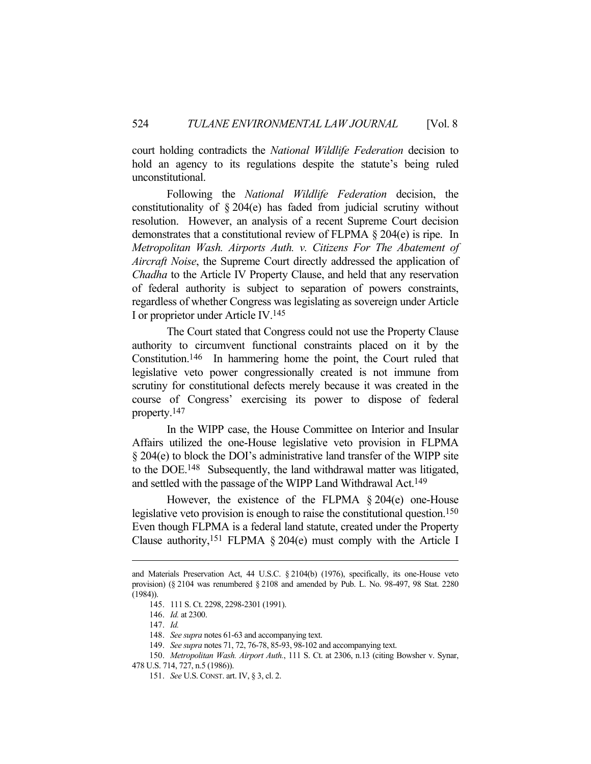court holding contradicts the *National Wildlife Federation* decision to hold an agency to its regulations despite the statute's being ruled unconstitutional.

 Following the *National Wildlife Federation* decision, the constitutionality of § 204(e) has faded from judicial scrutiny without resolution. However, an analysis of a recent Supreme Court decision demonstrates that a constitutional review of FLPMA § 204(e) is ripe. In *Metropolitan Wash. Airports Auth. v. Citizens For The Abatement of Aircraft Noise*, the Supreme Court directly addressed the application of *Chadha* to the Article IV Property Clause, and held that any reservation of federal authority is subject to separation of powers constraints, regardless of whether Congress was legislating as sovereign under Article I or proprietor under Article IV.145

 The Court stated that Congress could not use the Property Clause authority to circumvent functional constraints placed on it by the Constitution.146 In hammering home the point, the Court ruled that legislative veto power congressionally created is not immune from scrutiny for constitutional defects merely because it was created in the course of Congress' exercising its power to dispose of federal property.147

 In the WIPP case, the House Committee on Interior and Insular Affairs utilized the one-House legislative veto provision in FLPMA § 204(e) to block the DOI's administrative land transfer of the WIPP site to the DOE.148 Subsequently, the land withdrawal matter was litigated, and settled with the passage of the WIPP Land Withdrawal Act.149

 However, the existence of the FLPMA § 204(e) one-House legislative veto provision is enough to raise the constitutional question.<sup>150</sup> Even though FLPMA is a federal land statute, created under the Property Clause authority,<sup>151</sup> FLPMA  $\S 204(e)$  must comply with the Article I

149. *See supra* notes 71, 72, 76-78, 85-93, 98-102 and accompanying text.

and Materials Preservation Act, 44 U.S.C. § 2104(b) (1976), specifically, its one-House veto provision) (§ 2104 was renumbered § 2108 and amended by Pub. L. No. 98-497, 98 Stat. 2280 (1984)).

 <sup>145. 111</sup> S. Ct. 2298, 2298-2301 (1991).

 <sup>146.</sup> *Id.* at 2300.

 <sup>147.</sup> *Id.*

 <sup>148.</sup> *See supra* notes 61-63 and accompanying text.

 <sup>150.</sup> *Metropolitan Wash. Airport Auth.*, 111 S. Ct. at 2306, n.13 (citing Bowsher v. Synar,

<sup>478</sup> U.S. 714, 727, n.5 (1986)).

 <sup>151.</sup> *See* U.S. CONST. art. IV, § 3, cl. 2.